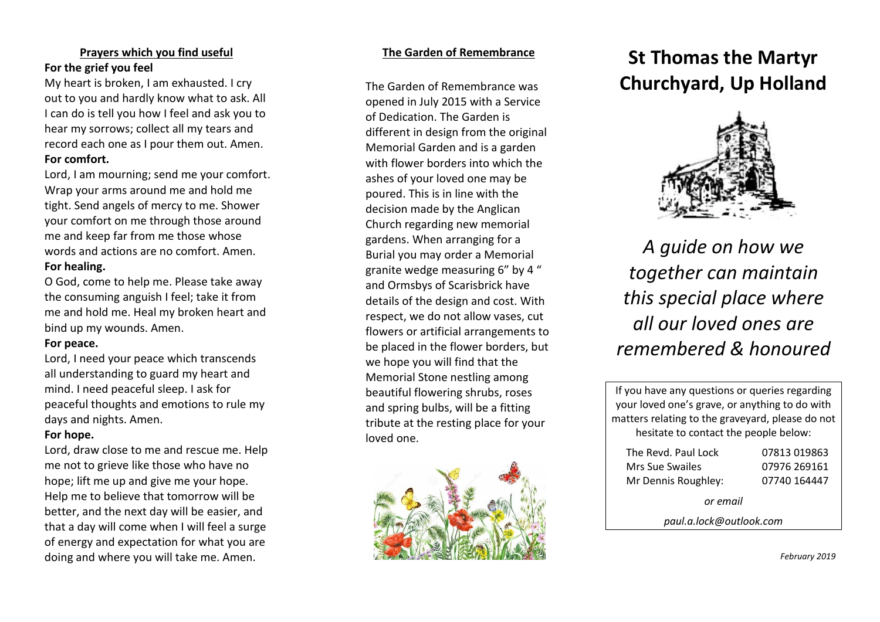# **Prayers which you find useful For the grief you feel**

My heart is broken, I am exhausted. I cry out to you and hardly know what to ask. All I can do is tell you how I feel and ask you to hear my sorrows; collect all my tears and record each one as I pour them out. Amen. **For comfort.**

Lord, I am mourning; send me your comfort. Wrap your arms around me and hold me tight. Send angels of mercy to me. Shower your comfort on me through those around me and keep far from me those whose words and actions are no comfort. Amen. **For healing.**

O God, come to help me. Please take away the consuming anguish I feel; take it from me and hold me. Heal my broken heart and bind up my wounds. Amen.

# **For peace.**

Lord, I need your peace which transcends all understanding to guard my heart and mind. I need peaceful sleep. I ask for peaceful thoughts and emotions to rule my days and nights. Amen.

# **For hope.**

Lord, draw close to me and rescue me. Help me not to grieve like those who have no hope; lift me up and give me your hope. Help me to believe that tomorrow will be better, and the next day will be easier, and that a day will come when I will feel a surge of energy and expectation for what you are doing and where you will take me. Amen.

# **The Garden of Remembrance**

The Garden of Remembrance was opened in July 2015 with a Service of Dedication. The Garden is different in design from the original Memorial Garden and is a garden with flower borders into which the ashes of your loved one may be poured. This is in line with the decision made by the Anglican Church regarding new memorial gardens. When arranging for a Burial you may order a Memorial granite wedge measuring 6" by 4 " and Ormsbys of Scarisbrick have details of the design and cost. With respect, we do not allow vases, cut flowers or artificial arrangements to be placed in the flower borders, but we hope you will find that the Memorial Stone nestling among beautiful flowering shrubs, roses and spring bulbs, will be a fitting tribute at the resting place for your loved one.



# **St Thomas the Martyr Churchyard, Up Holland**



*A guide on how we together can maintain this special place where all our loved ones are remembered & honoured*

If you have any questions or queries regarding your loved one's grave, or anything to do with matters relating to the graveyard, please do not hesitate to contact the people below:

| The Revd. Paul Lock | 07813 019863 |
|---------------------|--------------|
| Mrs Sue Swailes     | 07976 269161 |
| Mr Dennis Roughley: | 07740 164447 |

*or email*

*paul.a.lock@outlook.com*